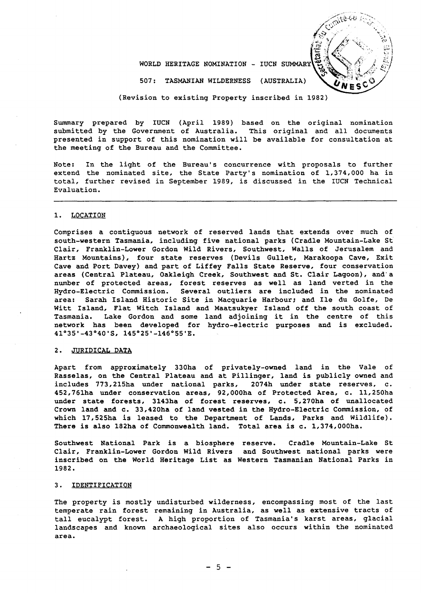WORLD HERITAGE NOMINATION - IUCN SUMMARY

(AUSTRALIA) S07: TASMANIAN WILDERNESS

(Revision to existing Property inscribed in 1982)

Summary prepared by IUCN (April 1989) based on the original nomination submitted by the Government of Australia. This original and all documents presented in support of this nomination will be available for consultation at the meeting of the Bureau and the Committee.

Note: In the light of the Bureau's concurrence with proposals to further extend the nominated site, the State Party's nomination of 1,374,000 ha in total, further revised in September 1989, is discussed in the IUCN Technical Evaluation.

#### 1. LOCATION

Comprises a contiguous network of reserved lands that extends over much of south-western Tasmania. including five national parks (Cradle Mountain-Lake St Clair, Franklin-Lower Gordon Wild Rivers, Southwest, Walls of Jerusalem and Hartz Mountains), four state reserves (Devils Gullet, Marakoopa Cave, Exit Cave and Port Davey) and part of Liffey Falls State Reserve, four conservation areas (Central Plateau, Oakleigh Creek, Southwest and St. Clair Lagoon), and"a number of protected areas, forest reserves as well as land verted in the Hydro-Electric Commission. Several outliers are included in the nominated Several outliers are included in the nominated area: Sarah Island Historic Site in Macquarie Harbour; and Ile du Golfe, De Witt Island, Flat Witch Island and Maatsukyer Island off the south coast of Tasmania. Lake Gordon and some land adjoining it in the centre of this network has been developed for hydro-electric purposes and is excluded. 41°3S'-43°40'S, l4S02S'-l46°55'E.

## 2. JURIDICAL DATA

Apart from approximately 330ha of privately-owned land in the Vale of Rasselas, on the Central Plateau and at Pillinger, land is publicly owned and includes 773,215ha under national parks, 2074h under state reserves, c. includes 773,215ha under national parks, 2074h under state reserves, c. 452,761ha under conservation areas, 92,000ha of Protected Area, c. 11,250ha under state forests, 3143ha of forest reserves, c. 5.270ha of unallocated Crown land and c. 33,420ha of land vested in the Hydro-Electric Commission, of which 17, 525ha is leased to the Department of Lands, Parks and Wildlife). There is also 182ha of Commonwealth land. Total area is c. 1,374,000ha.

Southwest National Park is a biosphere reserve. Cradle Mountain-Lake St Clair, Franklin-Lower Gordon Wild Rivers and Southwest national parks were inscribed on the World Heritage List as Western Tasmanian National Parks in 1982.

### 3. IDENTIFICATION

The property is mostly undisturbed wilderness, encompassing most of the last temperate rain forest remaining in Australia, as well as extensive tracts of tall eucalypt forest. A high proportion of Tasmania's karst areas, glacial landscapes and known archaeological sites also occurs within the nominated area.

 $-5 -$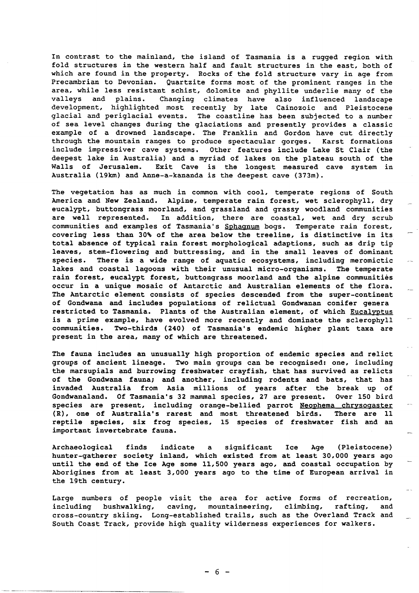In contrast to the mainland, the island of Tasmania *is* a rugged region with fold structures in the western half and fault structures in the east, both of which are found in the property. Rocks of the fold structure vary in age from Precambrian to Devonian. Quartzite forms most of the prominent ranges in the area, while less resistant schist, dolomite and phyllite underlie many of the<br>valleys and plains. Changing climates have also influenced landscape Changing climates have also influenced landscape development, highlighted most recently by late Cainozoic and Pleistocene glacial and periglacial events. The coastline has been subjected to a number of sea level changes during the glaciations and presently provides a classic example of a drowned landscape. The Franklin and Gordon have cut directly through the mountain ranges to produce spectacular gorges. Karst formations include impressiver cave systems. Other features include Lake St Clair (the deepest lake in Australia) and a myriad of lakes on the plateau south of the<br>Walls of Jerusalem. Exit Cave is the longest measured cave system in Exit Cave is the longest measured cave system in Australia (l9km) and Anne-a-kananda *is* the deepest cave (373m).

The vegetation has as much in common with cool, temperate regions of South America and New Zealand. Alpine, temperate rain forest, wet sclerophyll, dry eucalypt, buttongrass moorland, and grassland and grassy woodland communities are well represented. In addition, there are coastal, wet and dry scrub communities and examples of Tasmania's Sphagnum bogs. Temperate rain forest, covering less than 30% of the area below the treeline, is distinctive in its total absence of typical rain forest morphological adaptions, such as drip tip leaves, stem-flowering and buttressing, and in the small leaves of dominant species. There is a wide range of aquatic ecosystems, including meromictic lakes and coastal lagoons with their unusual micro-organisms. The temperate rain forest, eucalypt forest, buttongrass moorland and the alpine communities occur in a unique mosaic of Antarctic and Australian elements of the flora. The Antarctic element consists of species descended from the super-continent of Gondwana and includes populations of relictual Gondwanan conifer genera restricted to Tasmania. Plants of the Australian element, of which Eucalyptus is a prime example, have evolved more recently and dominate the sclerophyll<br>communities. Two-thirds (240) of Tasmania's endemic higher plant taxa are Two-thirds (240) of Tasmania's endemic higher plant taxa are present in the area, many of which are threatened.

The fauna includes an unusually high proportion of endemic species and relict groups of ancient lineage. Two main groups can be recognised: one, including the marsupials and burrowing freshwater crayfish, that has survived as relicts of the Gondwana fauna; and another, including rodents and bats, that has invaded Australia from Asia millions of years after the break up of<br>Gondwanaland. Of Tasmania's 32 mammal species, 27 are present. Over 150 bird Gondwanaland. Of Tasmania's 32 mammal species, 27 are present. species are present, including orange-bellied parrot Neophema chrysogaster (R), one of Australia's rarest and most threatened birds. There are 11 reptile species, six frog species, 15 species of freshwater fish and an important invertebrate fauna.

Archaeological finds indicate a significant Ice Age (Pleistocene) hunter-gatherer society inland, which existed from at least 30,000 years ago until the end of the Ice Age some 11,500 years ago, and coastal occupation by Aborigines from at least 3,000 years ago to the time of European arrival in the 19th century.

Large numbers of people visit the area for active forms of recreation, including bushwalking, caving, mountaineering, climbing, rafting, and cross-country skiing. Long-established trails, such as the Overland Track and South Coast Track, provide high quality wilderness experiences for walkers.

 $- 6 -$ 

- ---~- -------------------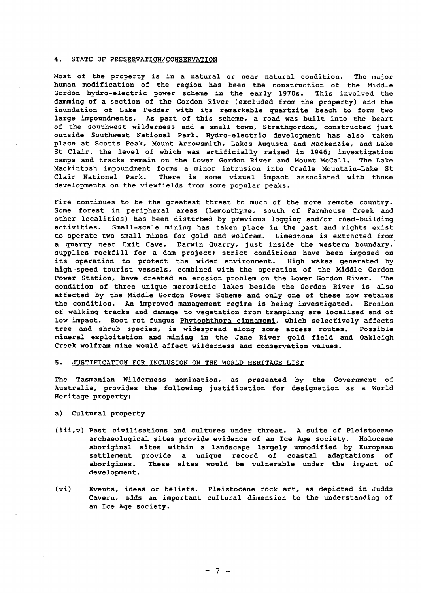### 4. STATE OF PRESERVATION/CONSERVATION

Most of the property is in a natural or near natural condition. The major human modification of the region has been the construction of the Middle Gordon hydro-electric power scheme in the early 1970s. This involved the damming of a section of the Gordon River (excluded from the property) and the inundation of Lake Pedder with its remarkable quartzite beach to form two large impoundments. As part of this scheme, a road was built into the heart of the southwest wilderness and a small town, Strathgordon, constructed just outside Southwest National Park. Hydro-electric development has also taken place at Scotts Peak, Mount Arrowsmith, Lakes Augusta and Mackenzie, and Lake St Clair, the level of which was artificially raised in 1946; investigation camps and tracks remain on the Lower Gordon River and Mount McCall. The Lake Mackintosh impoundment forms a minor intrusion into Cradle Mountain-Lake St There is some visual impact associated with these developments on the viewfields from some popular peaks.

Fire continues to be the greatest threat to much of the more remote country. Some forest in peripheral areas (Lemonthyme, south of Farmhouse Creek and other localities) has been disturbed by previous logging and/or road-building activities. Small-scale mining has taken place in the past and rights exist to operate two small mines for gold and wolfram. Limestone is extracted from a quarry near Exit Cave. Darwin Quarry, just inside the western boundary, supplies rockfill for a dam project; strict conditions have been imposed on its operation to protect the wider environment. High wakes generated by high-speed tourist vessels, combined with the operation of the Middle Gordon Power Station, have created an erosion problem on the Lower Gordon River. The condition of three unique meromictic lakes beside the Gordon River is also affected by the Middle Gordon Power Scheme and only one of these now retains the condition. An improved management regime is being investigated. Erosion of walking tracks and damage to vegetation from trampling are localised and of low impact. Root rot fungus Phytophthora cinnamomi, which selectively affects tree and shrub species, is widespread along some access routes. Possible mineral exploitation and mining in the Jane River gold field and Oakleigh Creek wolfram mine would affect wilderness and conservation values.

## 5. JUSTIFICATION FOR INCLUSION ON THE WORLD HERITAGE LIST

The Tasmanian Wilderness nomination, as presented by the Government of Australia, provides the following justification for designation as a World Heritage property:

## a) Cultural property

- (iii,v) Past civilisations and cultures under threat. A suite of Pleistocene archaeological sites provide evidence of an Ice Age society. Holocene aboriginal sites within a landscape largely unmodified by European<br>settlement provide a unique record of coastal adaptations of settlement provide a unique record of coastal aborigines. These sites would be vulnerable under the impact of development.
- (vi) Events, ideas or beliefs. Pleistocene rock art, as depicted in Judds Cavern, adds an important cultural dimension to the understanding of an Ice Age society.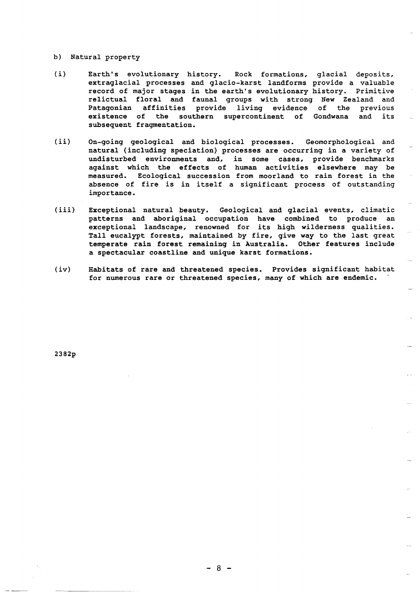### b) Natural property

- *(i)*  Earth's evolutionary history. Rock formations, glacial deposits, extraglacial processes and glacio-karst landforms provide a valuable record of major stages in the earth's evolutionary history. Primitive relictual floral and faunal groups with strong New Zealand and Patagonian affinities provide living evidence existence of the southern supercontinent of Gondwana and its subsequent fragmentation. previous
- $(ii)$ On-going geological and biological processes. Geomorphological and natural (including speciation) processes are occurring in a variety of undisturbed environments and, in some cases, provide benchmarks against which the effects of human activities elsewhere may be measured. Ecological succession from moorland to rain forest in the absence of fire is in itself a significant process of outstanding importance.
- $(iii)$ Exceptional natural beauty. Geological and glacial events, climatic patterns and aboriginal occupation have combined to produce an exceptional landscape, renowned for its high wilderness qualities. Tall eucalypt forests, maintained by fire, give way to the last great temperate rain forest remaining in Australia. Other features include a spectacular coastline and unique karst formations.
- (iv) Habitats of rare and threatened species. Provides significant habitat for numerous rare or threatened species, many of which are endemic.

2382p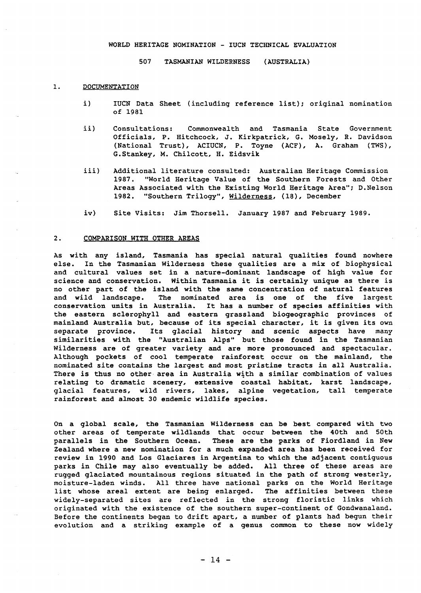## WORLD HERITAGE NOMINATION - IUCN TECHNICAL EVALUATION

507 TASMANIAN WILDERNESS (AUSTRALIA)

### 1. DOCUMENTATION

- i) IUCN Data Sheet (including reference list); original nomination of 1981
- ii) Consultations: Commonwealth and Tasmania State Government Officials, P. Hitchcock, J. Kirkpatrick, G. Mosely, R. Davidson (National Trust), ACIUCN, P. Toyne (ACF), A. Graham (TWS), G.Stankey, M. Chilcott, H. Eidsvik
- iii) Additional literature consulted: Australian Heritage Commission 1987. "World Heritage Value of the Southern Forests and Other Areas Associated with the Existing World Heritage Area"; D.Nelson 1982. "Southern Trilogy", Wilderness, (18), December
- iv) Site Visits: Jim Thorsell. January 1987 and February 1989.

### 2. COMPARISON WITH OTHER AREAS

As with any island, Tasmania has special natural qualities found nowhere else. In the Tasmanian Wilderness these qualities are a mix of biophysical and cultural values set in a nature-dominant landscape of high value for science and conservation. Within Tasmania it is certainly unique as there is no other part of the island with the same concentration of natural features<br>and wild landscape. The nominated area is one of the five largest The nominated area is one of the five largest conservation units in Australia. It has a number of species affinities with the eastern sclerophyll and eastern grassland biogeographic provinces of mainland Australia but, because of its special character, it is given its own separate province. Its glacial history and scenic aspects have many similarities with the "Australian Alps" but those found in the Tasmanian Wilderness are of greater variety and are more pronounced and spectacular. Although pockets of cool temperate rainforest occur on the mainland, the nominated site contains the largest and most pristine tracts in all Australia. There is thus no other area in Australia with a similar combination of values relating to dramatic scenery, extensive coastal habitat, karst landscape, glacial features, wild rivers, lakes, alpine vegetation, tall temperate rainforest and almost 30 endemic wildlife species.

On a global scale, the Tasmanian Wilderness can be best compared with two other areas of temperate wildlands that occur between the 40th and 50th parallels in the Southern Ocean. These are the parks of Fiordland in New Zealand where a new nomination for a much expanded area has been received for review in 1990 and Los Glaciares in Argentina to which the adjacent contiguous parks in Chile may also eventually be added. All three of these areas are rugged glaciated mountainous regions situated in the path of strong westerly, moisture-laden winds. All three have national parks on the World Heritage list whose areal extent are being enlarged. The affinities between these widely-separated sites are reflected in the strong floristic links which originated with the existence of the southern super-continent of Gondwanaland. Before the continents began to drift apart, a number of plants had begun their evolution and a striking example of a genus common to these now widely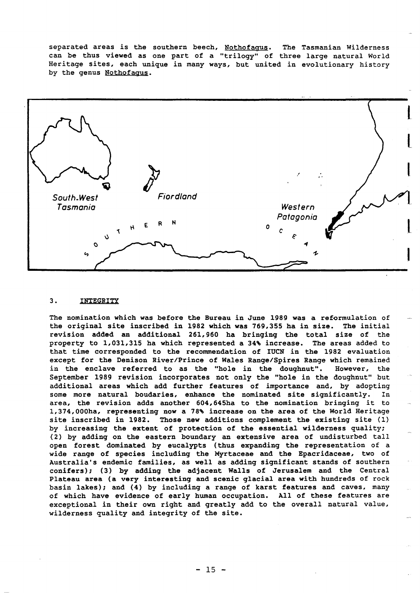separated areas is the southern beech, Nothofagus. The Tasmanian Wilderness can be thus viewed as one part of a "trilogy" of three large natural World Heritage sites, each unique in many ways, but united in evolutionary history by the genus Nothofagus.



## 3. INTEGRITY

The nomination which was before the Bureau in June 1989 was a reformulation of the original site inscribed in 1982 which was 769,355 ha in size. The initial revision added an additional 261,960 ha bringing the total size of the property to 1,031,315 ha which represented a 34% increase. The areas added to that time corresponded to the recommendation of IUCN in the 1982 evaluation except for the Denison River/Prince of Wales Range/Spires Range which remained in the enclave referred to as the "hole in the doughnut". However, the September 1989 revision incorporates not only the "hole in the doughnut" but additional areas which add further features of importance and, by adopting some more natural boudaries, enhance the nominated site significantly. In area, the revision adds another 604,645ha to the nomination bringing it to 1,374,000ha, representing now a 78' increase on the area of the World Heritage site inscribed in 1982. Those new additions complement the existing site (1) by increasing the extent of protection of the essential wilderness quality; (2) by adding on the eastern boundary an extensive area of undisturbed tall open forest dominated by eucalypts (thus expanding the representation of a wide range of species including the Myrtaceae and the Epacridaceae, two of Australia's endemic families, as well as adding significant stands of southern conifers); (3) by adding the adjacent Walls of Jerusalem and the Central Plateau area (a very interesting and scenic glacial area with hundreds of rock basin lakes); and (4) by including a range of karst features and caves, many of which have evidence of early human occupation. All of these features are exceptional in their own right and greatly add to the overall natural value, wilderness quality and integrity of the site.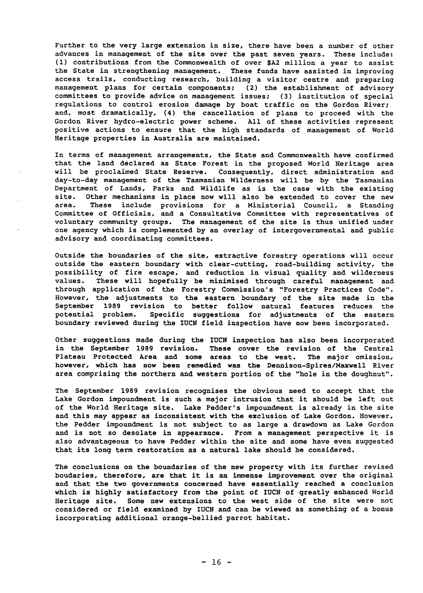Further to the very large extension in size, there have been a number of other advances in management of the site over the past seven years. These include: (1) contributions from the Commonwealth of over \$A2 million a year to assist the State in strengthening management. These funds have assisted in improving access trails, conducting research, building a visitor centre and preparing management plans for certain components; (2) the establishment of advisory committees to provide advice on management issues; (3) institution of special regulations to control erosion damage by boat traffic on the Gordon River; and, most dramatically, (4) the cancellation of plans to proceed with the Gordon River hydro-electric power scheme. All of these activities represent positive actions to ensure that the high standards of management of World Heritage properties in Australia are maintained.

In terms of management arrangements, the State and Commonwealth have confirmed that the land declared as State Forest in the proposed World Heritage area will be proclaimed State Reserve. Consequently, direct administration and day-to-day management of the Tasmanian Wilderness will be by the Tasmanian Department of Lands, Parks and Wildlife as is the case with the existing site. Other mechanisms in place now will also be extended to cover the new<br>area. These include provisions for a Ministerial Council, a Standing These include provisions for a Ministerial Council, a Standing Committee of Officials, and a Consultative Committee with representatives of voluntary community groups. The management of the site is thus unified under one agency which is complemented by an overlay of intergovernmental and public advisory and coordinating committees.

Outside the boundaries of the site, extractive forestry operations will occur outside the eastern boundary with clear-cutting, road-building activity, the possibility of fire escape, and reduction in visual quality and wilderness values. These will hopefully be minimised through careful management and through application of the Forestry Commission's "Forestry Practices Code". However, the adjustments to the eastern boundary of the site made in the September 1989 revision to better follow natural features reduces the potential problem. Specific suggestions for adjustments of the eastern boundary reviewed during the IUCH field inspection have now been incorporated.

Other suggestions made during the IUCN inspection has also been incorporated in the September 1989 revision. These cover the revision of the Central These cover the revision of the Central Plateau Protected Area and some areas to the west. The major omission, however, which has now been remedied was the Dennison-Spires/Maxwell River area comprising the northern and western portion of the "hole in the doughnut".

The September 1989 revision recognises the obvious need to accept that the Lake Gordon impoundment is such a major intrusion that it should be left out of the World Heritage site. Lake Pedder's impoundment is already in the site and this may appear as inconsistent with the exclusion of Lake Gordon. However, the Pedder impoundment is not subject to as large a drawdown as Lake Gordon and is not so desolate in appearance. From a management perspective it is also advantageous to have Pedder within the site and some have even suggested that its long term restoration as a natural lake should be considered.

The conclusions on the boundaries of the new property with its further revised boudaries, therefore, are that it is an immense improvement over the original and that the two governments concerned have essentially reached a conclusion which is highly satisfactory from the point of IUCN of greatly enhanced World Heritage site. Some new extensions to the west side of the site were not considered or field examined by IUCH and can be viewed as something of a bonus incorporating additional orange-bellied parrot habitat.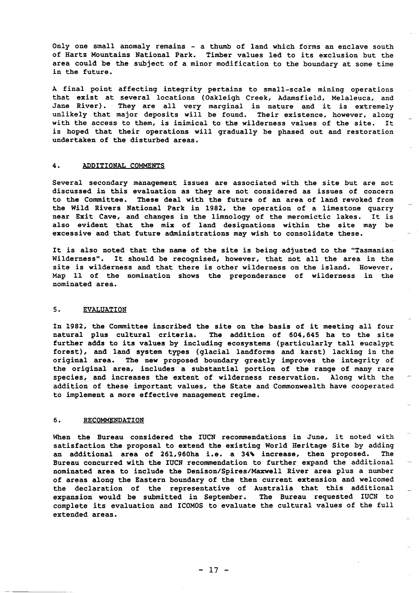Only one small anomaly remains - a thumb of land which forms an enclave south of Hartz Mountains National Park. Timber values led to its exclusion but the area could be the subject of a minor modification to the boundary at some time in the future.

A final point affecting integrity pertains to small-scale mining operations that exist at several locations (Oakleigh Creek, Adamsfield, Melaleuca, and Jane River). They are all very marginal in nature and it is extremely unlikely that major deposits will be found. Their existence, however, along with the access to them, is inimical to the wilderness values of the site. It is hoped that their operations will gradually be phased out and restoration undertaken of the disturbed areas.

## 4. ADDITIONAL COMMENTS

Several secondary management issues are associated with the site but are not discussed in this evaluation as they are not considered as issues of concern to the Committee. These deal with the future of an area of land revoked from the Wild Rivers National Park in 1982, the operation of a limestone quarry near Exit Cave, and changes in the limnology of the meromictic lakes. It is also evident that the mix of land designations within the site may be excessive and that future administrations may wish to consolidate these.

It is also noted that the name of the site is being adjusted to the "Tasmanian Wilderness". It should be recognised, however, that not all the area in the site is wilderness and that there is other wilderness on the island. However, Map 11 of the nomination shows the preponderance of wilderness in the nominated area.

### 5. EVALUATION

In 1982, the Committee inscribed the site on the basis of it meeting all four natural plus cultural criteria. The addition of 604,645 ha to the site further adds to its values by including ecosystems (particularly tall eucalypt forest), and land system types (glacial landforms and karst) lacking in the original area. The new proposed boundary greatly improves the integrity of the original area, includes a substantial portion of the range of many rare species, and increases the extent of wilderness reservation. Along with the addition of these important values, the State and Commonwealth have cooperated to implement a more effective management regime.

# 6. RECOMMENDATION

When the Bureau considered the IUCN recommendations in June, it noted with satisfaction the proposal to extend the existing World Heritage Site by adding an additional area of 261,960ha i.e. a 34% increase, then proposed. The Bureau concurred with the IUCN recommendation to further expand the additional nominated area to include the Denison/Spires/Maxwell River area plus a number of areas along the Eastern boundary of the then current extension and welcomed the declaration of the representative of Australia that this additional<br>expansion would be submitted in September. The Bureau requested IUCN to expansion would be submitted in September. complete its evaluation and ICOMOS to evaluate the cultural values of the full extended areas.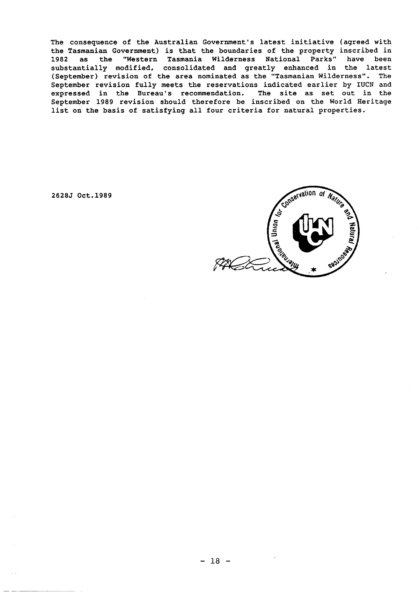The consequence of the Australian Government's latest initiative (agreed with the Tasmanian Government) is that the boundaries of the property inscribed in 1982 as the "Western Tasmania Wilderness National Parks" have been substantially modified. consolidated and greatly enhanced in the latest (September) revision of the area nominated as the "Tasmanian Wilderness". The September revision fully meets the reservations indicated earlier by IUCN and expressed in the Bureau's recommendation. The site as set out in the September 1989 revision should therefore be inscribed on the World Heritage list on the basis of satisfying all four criteria for natural properties.

*2628J* Oct.1989